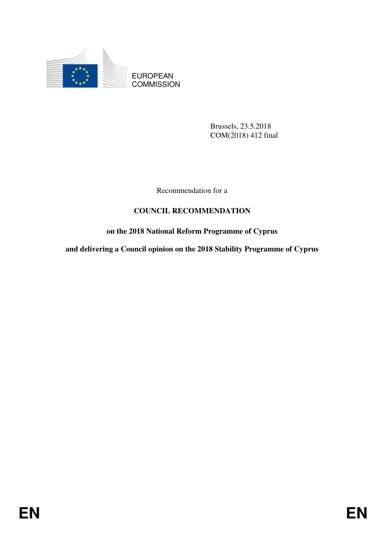

EUROPEAN **COMMISSION** 

> Brussels, 23.5.2018 COM(2018) 412 final

Recommendation for a

# **COUNCIL RECOMMENDATION**

## **on the 2018 National Reform Programme of Cyprus**

**and delivering a Council opinion on the 2018 Stability Programme of Cyprus**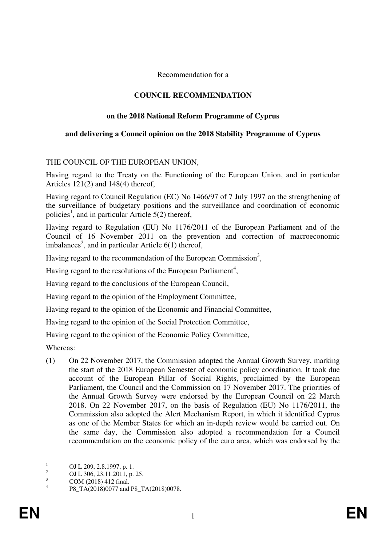Recommendation for a

## **COUNCIL RECOMMENDATION**

## **on the 2018 National Reform Programme of Cyprus**

#### **and delivering a Council opinion on the 2018 Stability Programme of Cyprus**

#### THE COUNCIL OF THE EUROPEAN UNION,

Having regard to the Treaty on the Functioning of the European Union, and in particular Articles 121(2) and 148(4) thereof,

Having regard to Council Regulation (EC) No 1466/97 of 7 July 1997 on the strengthening of the surveillance of budgetary positions and the surveillance and coordination of economic policies<sup>1</sup>, and in particular Article  $5(2)$  thereof,

Having regard to Regulation (EU) No 1176/2011 of the European Parliament and of the Council of 16 November 2011 on the prevention and correction of macroeconomic imbalances<sup>2</sup>, and in particular Article  $6(1)$  thereof,

Having regard to the recommendation of the European Commission<sup>3</sup>,

Having regard to the resolutions of the European Parliament<sup>4</sup>,

Having regard to the conclusions of the European Council,

Having regard to the opinion of the Employment Committee,

Having regard to the opinion of the Economic and Financial Committee,

Having regard to the opinion of the Social Protection Committee,

Having regard to the opinion of the Economic Policy Committee,

Whereas:

(1) On 22 November 2017, the Commission adopted the Annual Growth Survey, marking the start of the 2018 European Semester of economic policy coordination. It took due account of the European Pillar of Social Rights, proclaimed by the European Parliament, the Council and the Commission on 17 November 2017. The priorities of the Annual Growth Survey were endorsed by the European Council on 22 March 2018. On 22 November 2017, on the basis of Regulation (EU) No 1176/2011, the Commission also adopted the Alert Mechanism Report, in which it identified Cyprus as one of the Member States for which an in-depth review would be carried out. On the same day, the Commission also adopted a recommendation for a Council recommendation on the economic policy of the euro area, which was endorsed by the

 $\frac{1}{1}$ OJ L 209, 2.8.1997, p. 1.

 $\overline{2}$ OJ L 306, 23.11.2011, p. 25.

<sup>3</sup> COM (2018) 412 final. 4

P8\_TA(2018)0077 and P8\_TA(2018)0078.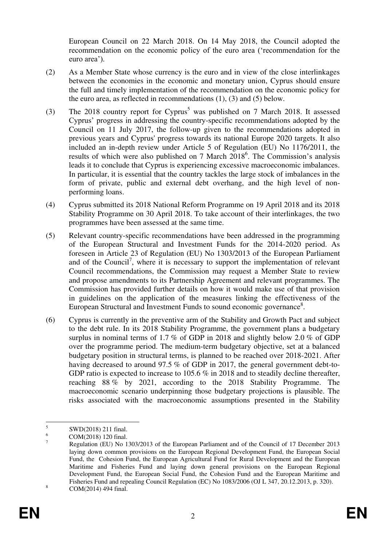European Council on 22 March 2018. On 14 May 2018, the Council adopted the recommendation on the economic policy of the euro area ('recommendation for the euro area').

- (2) As a Member State whose currency is the euro and in view of the close interlinkages between the economies in the economic and monetary union, Cyprus should ensure the full and timely implementation of the recommendation on the economic policy for the euro area, as reflected in recommendations (1), (3) and (5) below.
- (3) The 2018 country report for Cyprus<sup>5</sup> was published on 7 March 2018. It assessed Cyprus' progress in addressing the country-specific recommendations adopted by the Council on 11 July 2017, the follow-up given to the recommendations adopted in previous years and Cyprus' progress towards its national Europe 2020 targets. It also included an in-depth review under Article 5 of Regulation (EU) No 1176/2011, the results of which were also published on 7 March 2018<sup>6</sup>. The Commission's analysis leads it to conclude that Cyprus is experiencing excessive macroeconomic imbalances. In particular, it is essential that the country tackles the large stock of imbalances in the form of private, public and external debt overhang, and the high level of nonperforming loans.
- (4) Cyprus submitted its 2018 National Reform Programme on 19 April 2018 and its 2018 Stability Programme on 30 April 2018. To take account of their interlinkages, the two programmes have been assessed at the same time.
- (5) Relevant country-specific recommendations have been addressed in the programming of the European Structural and Investment Funds for the 2014-2020 period. As foreseen in Article 23 of Regulation (EU) No 1303/2013 of the European Parliament and of the Council<sup>7</sup>, where it is necessary to support the implementation of relevant Council recommendations, the Commission may request a Member State to review and propose amendments to its Partnership Agreement and relevant programmes. The Commission has provided further details on how it would make use of that provision in guidelines on the application of the measures linking the effectiveness of the European Structural and Investment Funds to sound economic governance<sup>8</sup>.
- (6) Cyprus is currently in the preventive arm of the Stability and Growth Pact and subject to the debt rule. In its 2018 Stability Programme, the government plans a budgetary surplus in nominal terms of 1.7 % of GDP in 2018 and slightly below 2.0 % of GDP over the programme period. The medium-term budgetary objective, set at a balanced budgetary position in structural terms, is planned to be reached over 2018-2021. After having decreased to around 97.5 % of GDP in 2017, the general government debt-to-GDP ratio is expected to increase to 105.6 % in 2018 and to steadily decline thereafter, reaching 88 % by 2021, according to the 2018 Stability Programme. The macroeconomic scenario underpinning those budgetary projections is plausible. The risks associated with the macroeconomic assumptions presented in the Stability

 $\frac{1}{5}$ SWD(2018) 211 final.

<sup>6</sup> COM(2018) 120 final.

<sup>7</sup> Regulation (EU) No 1303/2013 of the European Parliament and of the Council of 17 December 2013 laying down common provisions on the European Regional Development Fund, the European Social Fund, the Cohesion Fund, the European Agricultural Fund for Rural Development and the European Maritime and Fisheries Fund and laying down general provisions on the European Regional Development Fund, the European Social Fund, the Cohesion Fund and the European Maritime and Fisheries Fund and repealing Council Regulation (EC) No 1083/2006 (OJ L 347, 20.12.2013, p. 320). 8 COM(2014) 494 final.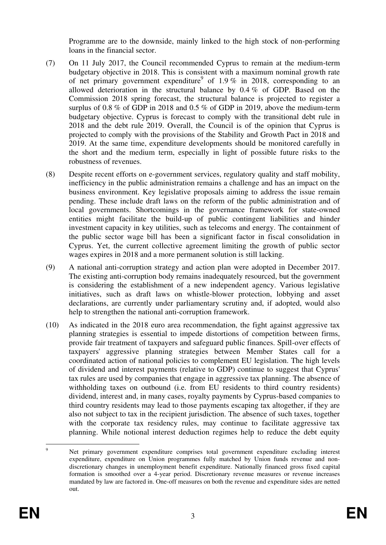Programme are to the downside, mainly linked to the high stock of non-performing loans in the financial sector.

- (7) On 11 July 2017, the Council recommended Cyprus to remain at the medium-term budgetary objective in 2018. This is consistent with a maximum nominal growth rate of net primary government expenditure<sup>9</sup> of 1.9% in 2018, corresponding to an allowed deterioration in the structural balance by 0.4 % of GDP. Based on the Commission 2018 spring forecast, the structural balance is projected to register a surplus of 0.8 % of GDP in 2018 and 0.5 % of GDP in 2019, above the medium-term budgetary objective. Cyprus is forecast to comply with the transitional debt rule in 2018 and the debt rule 2019. Overall, the Council is of the opinion that Cyprus is projected to comply with the provisions of the Stability and Growth Pact in 2018 and 2019. At the same time, expenditure developments should be monitored carefully in the short and the medium term, especially in light of possible future risks to the robustness of revenues.
- (8) Despite recent efforts on e-government services, regulatory quality and staff mobility, inefficiency in the public administration remains a challenge and has an impact on the business environment. Key legislative proposals aiming to address the issue remain pending. These include draft laws on the reform of the public administration and of local governments. Shortcomings in the governance framework for state-owned entities might facilitate the build-up of public contingent liabilities and hinder investment capacity in key utilities, such as telecoms and energy. The containment of the public sector wage bill has been a significant factor in fiscal consolidation in Cyprus. Yet, the current collective agreement limiting the growth of public sector wages expires in 2018 and a more permanent solution is still lacking.
- (9) A national anti-corruption strategy and action plan were adopted in December 2017. The existing anti-corruption body remains inadequately resourced, but the government is considering the establishment of a new independent agency. Various legislative initiatives, such as draft laws on whistle-blower protection, lobbying and asset declarations, are currently under parliamentary scrutiny and, if adopted, would also help to strengthen the national anti-corruption framework.
- (10) As indicated in the 2018 euro area recommendation, the fight against aggressive tax planning strategies is essential to impede distortions of competition between firms, provide fair treatment of taxpayers and safeguard public finances. Spill-over effects of taxpayers' aggressive planning strategies between Member States call for a coordinated action of national policies to complement EU legislation. The high levels of dividend and interest payments (relative to GDP) continue to suggest that Cyprus' tax rules are used by companies that engage in aggressive tax planning. The absence of withholding taxes on outbound (i.e. from EU residents to third country residents) dividend, interest and, in many cases, royalty payments by Cyprus-based companies to third country residents may lead to those payments escaping tax altogether, if they are also not subject to tax in the recipient jurisdiction. The absence of such taxes, together with the corporate tax residency rules, may continue to facilitate aggressive tax planning. While notional interest deduction regimes help to reduce the debt equity

<sup>–&</sup>lt;br>9 Net primary government expenditure comprises total government expenditure excluding interest expenditure, expenditure on Union programmes fully matched by Union funds revenue and nondiscretionary changes in unemployment benefit expenditure. Nationally financed gross fixed capital formation is smoothed over a 4-year period. Discretionary revenue measures or revenue increases mandated by law are factored in. One-off measures on both the revenue and expenditure sides are netted out.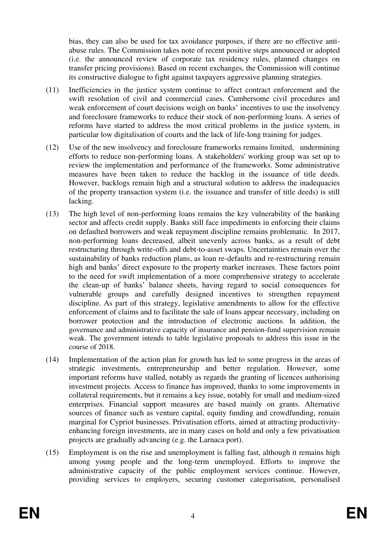bias, they can also be used for tax avoidance purposes, if there are no effective antiabuse rules. The Commission takes note of recent positive steps announced or adopted (i.e. the announced review of corporate tax residency rules, planned changes on transfer pricing provisions). Based on recent exchanges, the Commission will continue its constructive dialogue to fight against taxpayers aggressive planning strategies.

- (11) Inefficiencies in the justice system continue to affect contract enforcement and the swift resolution of civil and commercial cases. Cumbersome civil procedures and weak enforcement of court decisions weigh on banks' incentives to use the insolvency and foreclosure frameworks to reduce their stock of non-performing loans. A series of reforms have started to address the most critical problems in the justice system, in particular low digitalisation of courts and the lack of life-long training for judges.
- (12) Use of the new insolvency and foreclosure frameworks remains limited, undermining efforts to reduce non-performing loans. A stakeholders' working group was set up to review the implementation and performance of the frameworks. Some administrative measures have been taken to reduce the backlog in the issuance of title deeds. However, backlogs remain high and a structural solution to address the inadequacies of the property transaction system (i.e. the issuance and transfer of title deeds) is still lacking.
- (13) The high level of non-performing loans remains the key vulnerability of the banking sector and affects credit supply. Banks still face impediments in enforcing their claims on defaulted borrowers and weak repayment discipline remains problematic. In 2017, non-performing loans decreased, albeit unevenly across banks, as a result of debt restructuring through write-offs and debt-to-asset swaps. Uncertainties remain over the sustainability of banks reduction plans, as loan re-defaults and re-restructuring remain high and banks' direct exposure to the property market increases. These factors point to the need for swift implementation of a more comprehensive strategy to accelerate the clean-up of banks' balance sheets, having regard to social consequences for vulnerable groups and carefully designed incentives to strengthen repayment discipline. As part of this strategy, legislative amendments to allow for the effective enforcement of claims and to facilitate the sale of loans appear necessary, including on borrower protection and the introduction of electronic auctions. In addition, the governance and administrative capacity of insurance and pension-fund supervision remain weak. The government intends to table legislative proposals to address this issue in the course of 2018.
- (14) Implementation of the action plan for growth has led to some progress in the areas of strategic investments, entrepreneurship and better regulation. However, some important reforms have stalled, notably as regards the granting of licences authorising investment projects. Access to finance has improved, thanks to some improvements in collateral requirements, but it remains a key issue, notably for small and medium-sized enterprises. Financial support measures are based mainly on grants. Alternative sources of finance such as venture capital, equity funding and crowdfunding, remain marginal for Cypriot businesses. Privatisation efforts, aimed at attracting productivityenhancing foreign investments, are in many cases on hold and only a few privatisation projects are gradually advancing (e.g. the Larnaca port).
- (15) Employment is on the rise and unemployment is falling fast, although it remains high among young people and the long-term unemployed. Efforts to improve the administrative capacity of the public employment services continue. However, providing services to employers, securing customer categorisation, personalised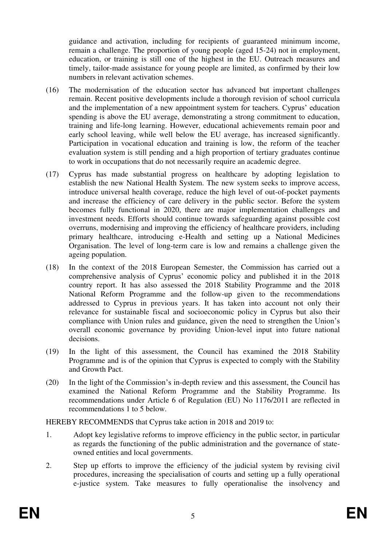guidance and activation, including for recipients of guaranteed minimum income, remain a challenge. The proportion of young people (aged 15-24) not in employment, education, or training is still one of the highest in the EU. Outreach measures and timely, tailor-made assistance for young people are limited, as confirmed by their low numbers in relevant activation schemes.

- (16) The modernisation of the education sector has advanced but important challenges remain. Recent positive developments include a thorough revision of school curricula and the implementation of a new appointment system for teachers. Cyprus' education spending is above the EU average, demonstrating a strong commitment to education, training and life-long learning. However, educational achievements remain poor and early school leaving, while well below the EU average, has increased significantly. Participation in vocational education and training is low, the reform of the teacher evaluation system is still pending and a high proportion of tertiary graduates continue to work in occupations that do not necessarily require an academic degree.
- (17) Cyprus has made substantial progress on healthcare by adopting legislation to establish the new National Health System. The new system seeks to improve access, introduce universal health coverage, reduce the high level of out-of-pocket payments and increase the efficiency of care delivery in the public sector. Before the system becomes fully functional in 2020, there are major implementation challenges and investment needs. Efforts should continue towards safeguarding against possible cost overruns, modernising and improving the efficiency of healthcare providers, including primary healthcare, introducing e-Health and setting up a National Medicines Organisation. The level of long-term care is low and remains a challenge given the ageing population.
- (18) In the context of the 2018 European Semester, the Commission has carried out a comprehensive analysis of Cyprus' economic policy and published it in the 2018 country report. It has also assessed the 2018 Stability Programme and the 2018 National Reform Programme and the follow-up given to the recommendations addressed to Cyprus in previous years. It has taken into account not only their relevance for sustainable fiscal and socioeconomic policy in Cyprus but also their compliance with Union rules and guidance, given the need to strengthen the Union's overall economic governance by providing Union-level input into future national decisions.
- (19) In the light of this assessment, the Council has examined the 2018 Stability Programme and is of the opinion that Cyprus is expected to comply with the Stability and Growth Pact.
- (20) In the light of the Commission's in-depth review and this assessment, the Council has examined the National Reform Programme and the Stability Programme. Its recommendations under Article 6 of Regulation (EU) No 1176/2011 are reflected in recommendations 1 to 5 below.

HEREBY RECOMMENDS that Cyprus take action in 2018 and 2019 to:

- 1. Adopt key legislative reforms to improve efficiency in the public sector, in particular as regards the functioning of the public administration and the governance of stateowned entities and local governments.
- 2. Step up efforts to improve the efficiency of the judicial system by revising civil procedures, increasing the specialisation of courts and setting up a fully operational e-justice system. Take measures to fully operationalise the insolvency and